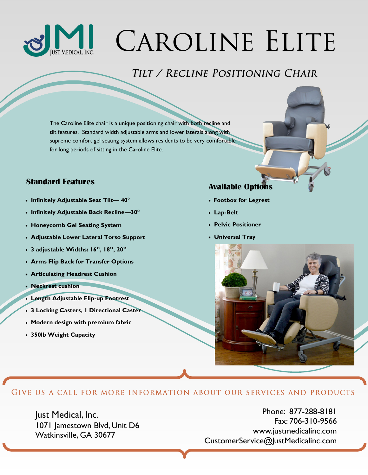

# CAROLINE ELITE

## TILT / RECLINE POSITIONING CHAIR

The Caroline Elite chair is a unique positioning chair with both recline and tilt features. Standard width adjustable arms and lower laterals along with supreme comfort gel seating system allows residents to be very comfortable for long periods of sitting in the Caroline Elite.

### **Available Options Standard Features**

- **Infinitely Adjustable Seat Tilt— 40°**
- **Infinitely Adjustable Back Recline—30⁰**
- **Honeycomb Gel Seating System**
- **Adjustable Lower Lateral Torso Support**
- **3 adjustable Widths: 16", 18", 20"**
- **Arms Flip Back for Transfer Options**
- **Articulating Headrest Cushion**
- **Neckrest cushion**
- **Length Adjustable Flip-up Footrest**
- **3 Locking Casters, 1 Directional Caster**
- **Modern design with premium fabric**
- **350lb Weight Capacity**

- **Footbox for Legrest**
- **Lap-Belt**
- **Pelvic Positioner**
- **Universal Tray**



#### GIVE US A CALL FOR MORE INFORMATION ABOUT OUR SERVICES AND PRODUCTS

Just Medical, Inc. 1071 Jamestown Blvd, Unit D6 Watkinsville, GA 30677

Phone: 877-288-8181 Fax: 706-310-9566 www.justmedicalinc.com CustomerService@JustMedicalinc.com